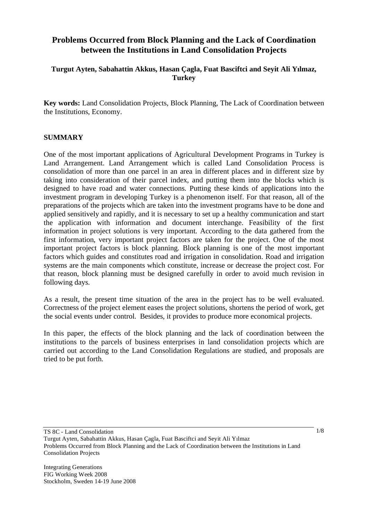# **Problems Occurred from Block Planning and the Lack of Coordination between the Institutions in Land Consolidation Projects**

## **Turgut Ayten, Sabahattin Akkus, Hasan Çagla, Fuat Basciftci and Seyit Ali Yılmaz, Turkey**

**Key words:** Land Consolidation Projects, Block Planning, The Lack of Coordination between the Institutions, Economy.

## **SUMMARY**

One of the most important applications of Agricultural Development Programs in Turkey is Land Arrangement. Land Arrangement which is called Land Consolidation Process is consolidation of more than one parcel in an area in different places and in different size by taking into consideration of their parcel index, and putting them into the blocks which is designed to have road and water connections. Putting these kinds of applications into the investment program in developing Turkey is a phenomenon itself. For that reason, all of the preparations of the projects which are taken into the investment programs have to be done and applied sensitively and rapidly, and it is necessary to set up a healthy communication and start the application with information and document interchange. Feasibility of the first information in project solutions is very important. According to the data gathered from the first information, very important project factors are taken for the project. One of the most important project factors is block planning. Block planning is one of the most important factors which guides and constitutes road and irrigation in consolidation. Road and irrigation systems are the main components which constitute, increase or decrease the project cost. For that reason, block planning must be designed carefully in order to avoid much revision in following days.

As a result, the present time situation of the area in the project has to be well evaluated. Correctness of the project element eases the project solutions, shortens the period of work, get the social events under control. Besides, it provides to produce more economical projects.

In this paper, the effects of the block planning and the lack of coordination between the institutions to the parcels of business enterprises in land consolidation projects which are carried out according to the Land Consolidation Regulations are studied, and proposals are tried to be put forth.

Turgut Ayten, Sabahattin Akkus, Hasan Çagla, Fuat Basciftci and Seyit Ali Yılmaz Problems Occurred from Block Planning and the Lack of Coordination between the Institutions in Land Consolidation Projects

Integrating Generations FIG Working Week 2008 Stockholm, Sweden 14-19 June 2008 1/8

TS 8C - Land Consolidation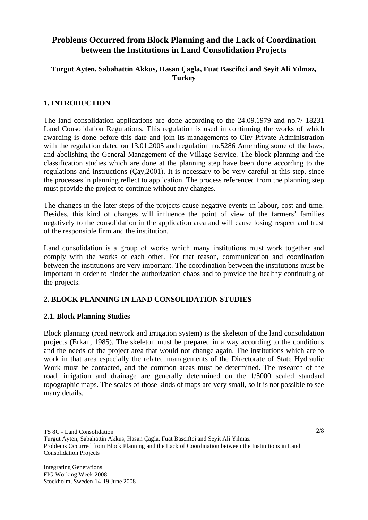# **Problems Occurred from Block Planning and the Lack of Coordination between the Institutions in Land Consolidation Projects**

# **Turgut Ayten, Sabahattin Akkus, Hasan Çagla, Fuat Basciftci and Seyit Ali Yılmaz, Turkey**

# **1. INTRODUCTION**

The land consolidation applications are done according to the 24.09.1979 and no.7/ 18231 Land Consolidation Regulations. This regulation is used in continuing the works of which awarding is done before this date and join its managements to City Private Administration with the regulation dated on 13.01.2005 and regulation no.5286 Amending some of the laws, and abolishing the General Management of the Village Service. The block planning and the classification studies which are done at the planning step have been done according to the regulations and instructions (Çay,2001). It is necessary to be very careful at this step, since the processes in planning reflect to application. The process referenced from the planning step must provide the project to continue without any changes.

The changes in the later steps of the projects cause negative events in labour, cost and time. Besides, this kind of changes will influence the point of view of the farmers' families negatively to the consolidation in the application area and will cause losing respect and trust of the responsible firm and the institution.

Land consolidation is a group of works which many institutions must work together and comply with the works of each other. For that reason, communication and coordination between the institutions are very important. The coordination between the institutions must be important in order to hinder the authorization chaos and to provide the healthy continuing of the projects.

# **2. BLOCK PLANNING IN LAND CONSOLIDATION STUDIES**

## **2.1. Block Planning Studies**

Block planning (road network and irrigation system) is the skeleton of the land consolidation projects (Erkan, 1985). The skeleton must be prepared in a way according to the conditions and the needs of the project area that would not change again. The institutions which are to work in that area especially the related managements of the Directorate of State Hydraulic Work must be contacted, and the common areas must be determined. The research of the road, irrigation and drainage are generally determined on the 1/5000 scaled standard topographic maps. The scales of those kinds of maps are very small, so it is not possible to see many details.

TS 8C - Land Consolidation Turgut Ayten, Sabahattin Akkus, Hasan Çagla, Fuat Basciftci and Seyit Ali Yılmaz Problems Occurred from Block Planning and the Lack of Coordination between the Institutions in Land Consolidation Projects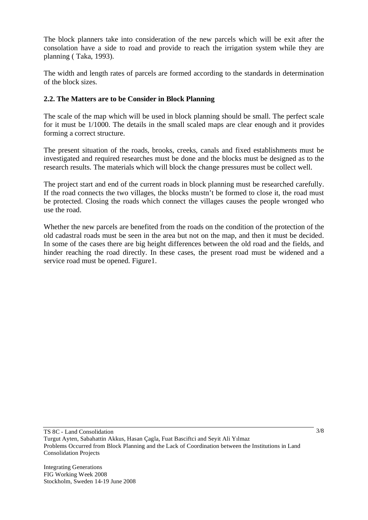The block planners take into consideration of the new parcels which will be exit after the consolation have a side to road and provide to reach the irrigation system while they are planning ( Taka, 1993).

The width and length rates of parcels are formed according to the standards in determination of the block sizes.

# **2.2. The Matters are to be Consider in Block Planning**

The scale of the map which will be used in block planning should be small. The perfect scale for it must be 1/1000. The details in the small scaled maps are clear enough and it provides forming a correct structure.

The present situation of the roads, brooks, creeks, canals and fixed establishments must be investigated and required researches must be done and the blocks must be designed as to the research results. The materials which will block the change pressures must be collect well.

The project start and end of the current roads in block planning must be researched carefully. If the road connects the two villages, the blocks mustn't be formed to close it, the road must be protected. Closing the roads which connect the villages causes the people wronged who use the road.

Whether the new parcels are benefited from the roads on the condition of the protection of the old cadastral roads must be seen in the area but not on the map, and then it must be decided. In some of the cases there are big height differences between the old road and the fields, and hinder reaching the road directly. In these cases, the present road must be widened and a service road must be opened. Figure1.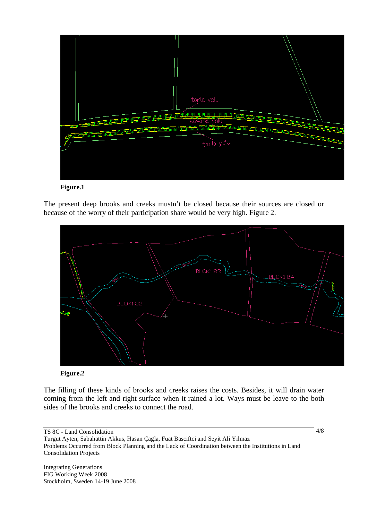



The present deep brooks and creeks mustn't be closed because their sources are closed or because of the worry of their participation share would be very high. Figure 2.



#### **Figure.2**

The filling of these kinds of brooks and creeks raises the costs. Besides, it will drain water coming from the left and right surface when it rained a lot. Ways must be leave to the both sides of the brooks and creeks to connect the road.

TS 8C - Land Consolidation Turgut Ayten, Sabahattin Akkus, Hasan Çagla, Fuat Basciftci and Seyit Ali Yılmaz Problems Occurred from Block Planning and the Lack of Coordination between the Institutions in Land Consolidation Projects

Integrating Generations FIG Working Week 2008 Stockholm, Sweden 14-19 June 2008 4/8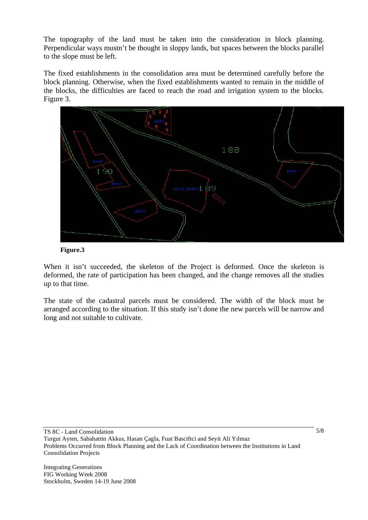The topography of the land must be taken into the consideration in block planning. Perpendicular ways mustn't be thought in sloppy lands, but spaces between the blocks parallel to the slope must be left.

The fixed establishments in the consolidation area must be determined carefully before the block planning. Otherwise, when the fixed establishments wanted to remain in the middle of the blocks, the difficulties are faced to reach the road and irrigation system to the blocks. Figure 3.



**Figure.3** 

When it isn't succeeded, the skeleton of the Project is deformed. Once the skeleton is deformed, the rate of participation has been changed, and the change removes all the studies up to that time.

The state of the cadastral parcels must be considered. The width of the block must be arranged according to the situation. If this study isn't done the new parcels will be narrow and long and not suitable to cultivate.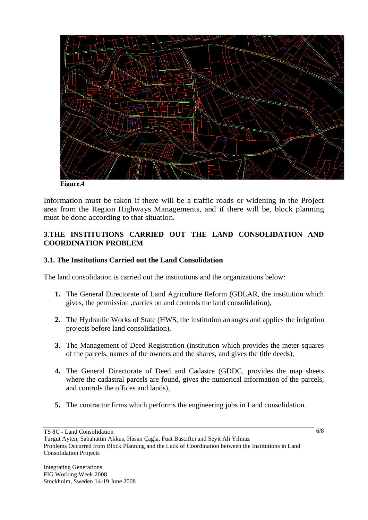

**Figure.4** 

Information must be taken if there will be a traffic roads or widening in the Project area from the Region Highways Managements, and if there will be, block planning must be done according to that situation.

## **3.THE INSTITUTIONS CARRIED OUT THE LAND CONSOLIDATION AND COORDINATION PROBLEM**

# **3.1. The Institutions Carried out the Land Consolidation**

The land consolidation is carried out the institutions and the organizations below:

- **1.** The General Directorate of Land Agriculture Reform (GDLAR, the institution which gives, the permission ,carries on and controls the land consolidation),
- **2.** The Hydraulic Works of State (HWS, the institution arranges and applies the irrigation projects before land consolidation),
- **3.** The Management of Deed Registration (institution which provides the meter squares of the parcels, names of the owners and the shares, and gives the title deeds),
- **4.** The General Directorate of Deed and Cadastre (GDDC, provides the map sheets where the cadastral parcels are found, gives the numerical information of the parcels, and controls the offices and lands),
- **5.** The contractor firms which performs the engineering jobs in Land consolidation.

TS 8C - Land Consolidation

Turgut Ayten, Sabahattin Akkus, Hasan Çagla, Fuat Basciftci and Seyit Ali Yılmaz Problems Occurred from Block Planning and the Lack of Coordination between the Institutions in Land Consolidation Projects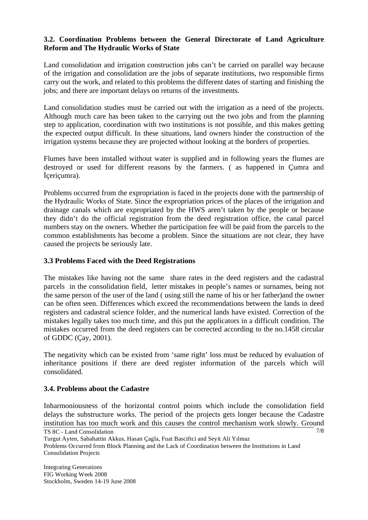# **3.2. Coordination Problems between the General Directorate of Land Agriculture Reform and The Hydraulic Works of State**

Land consolidation and irrigation construction jobs can't be carried on parallel way because of the irrigation and consolidation are the jobs of separate institutions, two responsible firms carry out the work, and related to this problems the different dates of starting and finishing the jobs; and there are important delays on returns of the investments.

Land consolidation studies must be carried out with the irrigation as a need of the projects. Although much care has been taken to the carrying out the two jobs and from the planning step to application, coordination with two institutions is not possible, and this makes getting the expected output difficult. In these situations, land owners hinder the construction of the irrigation systems because they are projected without looking at the borders of properties.

Flumes have been installed without water is supplied and in following years the flumes are destroyed or used for different reasons by the farmers. ( as happened in Çumra and çeriçumra).

Problems occurred from the expropriation is faced in the projects done with the partnership of the Hydraulic Works of State. Since the expropriation prices of the places of the irrigation and drainage canals which are expropriated by the HWS aren't taken by the people or because they didn't do the official registration from the deed registration office, the canal parcel numbers stay on the owners. Whether the participation fee will be paid from the parcels to the common establishments has become a problem. Since the situations are not clear, they have caused the projects be seriously late.

#### **3.3 Problems Faced with the Deed Registrations**

The mistakes like having not the same share rates in the deed registers and the cadastral parcels in the consolidation field, letter mistakes in people's names or surnames, being not the same person of the user of the land ( using still the name of his or her father)and the owner can be often seen. Differences which exceed the recommendations between the lands in deed registers and cadastral science folder, and the numerical lands have existed. Correction of the mistakes legally takes too much time, and this put the applicators in a difficult condition. The mistakes occurred from the deed registers can be corrected according to the no.1458 circular of GDDC (Çay, 2001).

The negativity which can be existed from 'same right' loss must be reduced by evaluation of inheritance positions if there are deed register information of the parcels which will consolidated.

## **3.4. Problems about the Cadastre**

TS 8C - Land Consolidation 7/8 Inharmoniousness of the horizontal control points which include the consolidation field delays the substructure works. The period of the projects gets longer because the Cadastre institution has too much work and this causes the control mechanism work slowly. Ground

Turgut Ayten, Sabahattin Akkus, Hasan Çagla, Fuat Basciftci and Seyit Ali Yılmaz

Problems Occurred from Block Planning and the Lack of Coordination between the Institutions in Land Consolidation Projects

Integrating Generations FIG Working Week 2008 Stockholm, Sweden 14-19 June 2008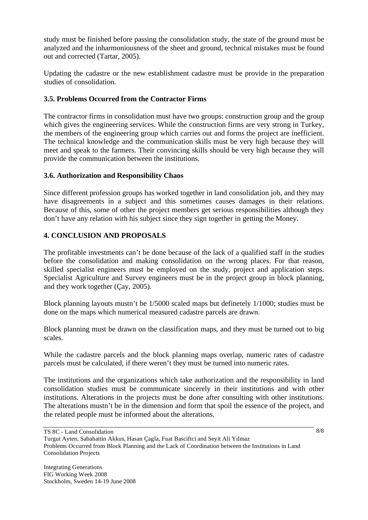study must be finished before passing the consolidation study, the state of the ground must be analyzed and the inharmoniousness of the sheet and ground, technical mistakes must be found out and corrected (Tartar, 2005).

Updating the cadastre or the new establishment cadastre must be provide in the preparation studies of consolidation.

# **3.5. Problems Occurred from the Contractor Firms**

The contractor firms in consolidation must have two groups: construction group and the group which gives the engineering services. While the construction firms are very strong in Turkey, the members of the engineering group which carries out and forms the project are inefficient. The technical knowledge and the communication skills must be very high because they will meet and speak to the farmers. Their convincing skills should be very high because they will provide the communication between the institutions.

## **3.6. Authorization and Responsibility Chaos**

Since different profession groups has worked together in land consolidation job, and they may have disagreements in a subject and this sometimes causes damages in their relations. Because of this, some of other the project members get serious responsibilities although they don't have any relation with his subject since they sign together in getting the Money.

# **4. CONCLUSION AND PROPOSALS**

The profitable investments can't be done because of the lack of a qualified staff in the studies before the consolidation and making consolidation on the wrong places. For that reason, skilled specialist engineers must be employed on the study, project and application steps. Specialist Agriculture and Survey engineers must be in the project group in block planning, and they work together (Çay, 2005).

Block planning layouts mustn't be 1/5000 scaled maps but definetely 1/1000; studies must be done on the maps which numerical measured cadastre parcels are drawn.

Block planning must be drawn on the classification maps, and they must be turned out to big scales.

While the cadastre parcels and the block planning maps overlap, numeric rates of cadastre parcels must be calculated, if there weren't they must be turned into numeric rates.

The institutions and the organizations which take authorization and the responsibility in land consolidation studies must be communicate sincerely in their institutions and with other institutions. Alterations in the projects must be done after consulting with other institutions. The alterations mustn't be in the dimension and form that spoil the essence of the project, and the related people must be informed about the alterations.

TS 8C - Land Consolidation Turgut Ayten, Sabahattin Akkus, Hasan Çagla, Fuat Basciftci and Seyit Ali Yılmaz Problems Occurred from Block Planning and the Lack of Coordination between the Institutions in Land Consolidation Projects